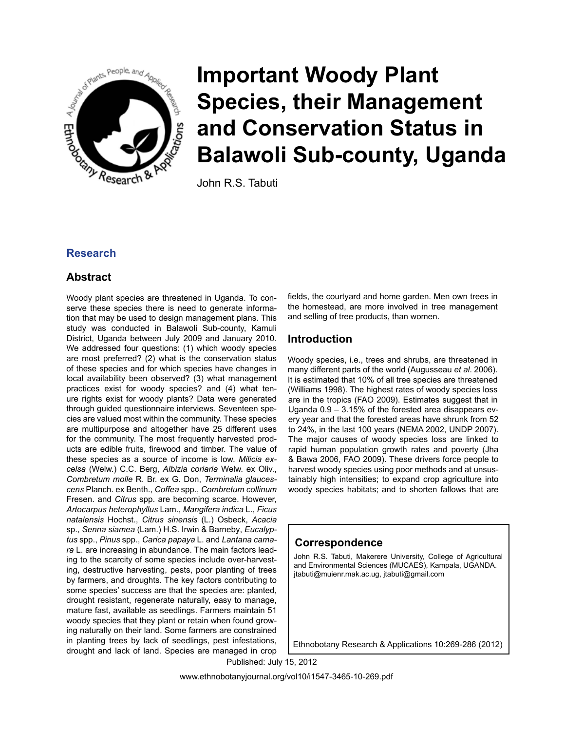

# **Important Woody Plant Species, their Management and Conservation Status in Balawoli Sub-county, Uganda**

John R.S. Tabuti

### **Research**

### **Abstract**

Woody plant species are threatened in Uganda. To conserve these species there is need to generate information that may be used to design management plans. This study was conducted in Balawoli Sub-county, Kamuli District, Uganda between July 2009 and January 2010. We addressed four questions: (1) which woody species are most preferred? (2) what is the conservation status of these species and for which species have changes in local availability been observed? (3) what management practices exist for woody species? and (4) what tenure rights exist for woody plants? Data were generated through guided questionnaire interviews. Seventeen species are valued most within the community. These species are multipurpose and altogether have 25 different uses for the community. The most frequently harvested products are edible fruits, firewood and timber. The value of these species as a source of income is low. *Milicia excelsa* (Welw.) C.C. Berg, *Albizia coriaria* Welw. ex Oliv., *Combretum molle* R. Br. ex G. Don, *Terminalia glaucescens* Planch. ex Benth., *Coffea* spp., *Combretum collinum* Fresen. and *Citrus* spp. are becoming scarce. However, *Artocarpus heterophyllus* Lam., *Mangifera indica* L., *Ficus natalensis* Hochst., *Citrus sinensis* (L.) Osbeck, *Acacia* sp., *Senna siamea* (Lam.) H.S. Irwin & Barneby, *Eucalyptus* spp., *Pinus* spp., *Carica papaya* L. and *Lantana camara* L. are increasing in abundance. The main factors leading to the scarcity of some species include over-harvesting, destructive harvesting, pests, poor planting of trees by farmers, and droughts. The key factors contributing to some species' success are that the species are: planted, drought resistant, regenerate naturally, easy to manage, mature fast, available as seedlings. Farmers maintain 51 woody species that they plant or retain when found growing naturally on their land. Some farmers are constrained in planting trees by lack of seedlings, pest infestations, drought and lack of land. Species are managed in crop fields, the courtyard and home garden. Men own trees in the homestead, are more involved in tree management and selling of tree products, than women.

### **Introduction**

Woody species, i.e., trees and shrubs, are threatened in many different parts of the world (Augusseau *et al*. 2006). It is estimated that 10% of all tree species are threatened (Williams 1998). The highest rates of woody species loss are in the tropics (FAO 2009). Estimates suggest that in Uganda 0.9 – 3.15% of the forested area disappears every year and that the forested areas have shrunk from 52 to 24%, in the last 100 years (NEMA 2002, UNDP 2007). The major causes of woody species loss are linked to rapid human population growth rates and poverty (Jha & Bawa 2006, FAO 2009). These drivers force people to harvest woody species using poor methods and at unsustainably high intensities; to expand crop agriculture into woody species habitats; and to shorten fallows that are

### **Correspondence**

John R.S. Tabuti, Makerere University, College of Agricultural and Environmental Sciences (MUCAES), Kampala, UGANDA. jtabuti@muienr.mak.ac.ug, jtabuti@gmail.com

Ethnobotany Research & Applications 10:269-286 (2012)

Published: July 15, 2012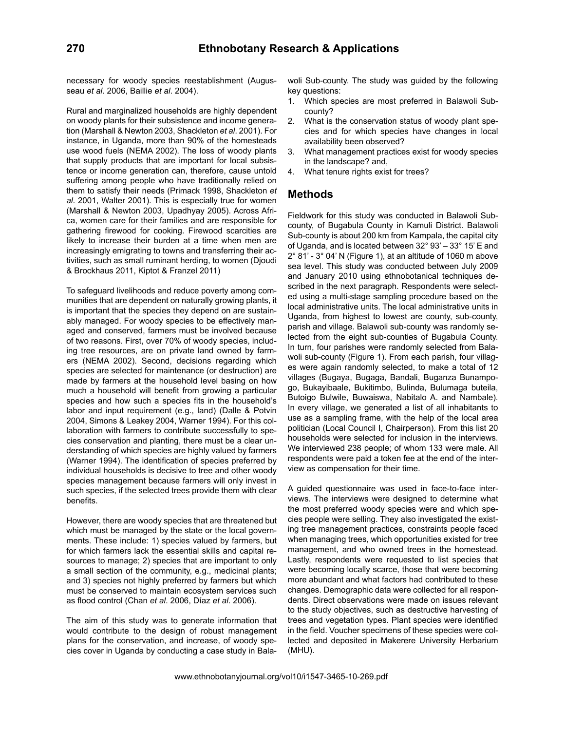necessary for woody species reestablishment (Augusseau *et al*. 2006, Baillie *et al*. 2004).

Rural and marginalized households are highly dependent on woody plants for their subsistence and income generation (Marshall & Newton 2003, Shackleton *et al*. 2001). For instance, in Uganda, more than 90% of the homesteads use wood fuels (NEMA 2002). The loss of woody plants that supply products that are important for local subsistence or income generation can, therefore, cause untold suffering among people who have traditionally relied on them to satisfy their needs (Primack 1998, Shackleton *et al*. 2001, Walter 2001). This is especially true for women (Marshall & Newton 2003, Upadhyay 2005). Across Africa, women care for their families and are responsible for gathering firewood for cooking. Firewood scarcities are likely to increase their burden at a time when men are increasingly emigrating to towns and transferring their activities, such as small ruminant herding, to women (Djoudi & Brockhaus 2011, Kiptot & Franzel 2011)

To safeguard livelihoods and reduce poverty among communities that are dependent on naturally growing plants, it is important that the species they depend on are sustainably managed. For woody species to be effectively managed and conserved, farmers must be involved because of two reasons. First, over 70% of woody species, including tree resources, are on private land owned by farmers (NEMA 2002). Second, decisions regarding which species are selected for maintenance (or destruction) are made by farmers at the household level basing on how much a household will benefit from growing a particular species and how such a species fits in the household's labor and input requirement (e.g., land) (Dalle & Potvin 2004, Simons & Leakey 2004, Warner 1994). For this collaboration with farmers to contribute successfully to species conservation and planting, there must be a clear understanding of which species are highly valued by farmers (Warner 1994). The identification of species preferred by individual households is decisive to tree and other woody species management because farmers will only invest in such species, if the selected trees provide them with clear benefits.

However, there are woody species that are threatened but which must be managed by the state or the local governments. These include: 1) species valued by farmers, but for which farmers lack the essential skills and capital resources to manage; 2) species that are important to only a small section of the community, e.g., medicinal plants; and 3) species not highly preferred by farmers but which must be conserved to maintain ecosystem services such as flood control (Chan *et al*. 2006, Díaz *et al*. 2006).

The aim of this study was to generate information that would contribute to the design of robust management plans for the conservation, and increase, of woody species cover in Uganda by conducting a case study in Balawoli Sub-county. The study was guided by the following key questions:

- 1. Which species are most preferred in Balawoli Subcounty?
- 2. What is the conservation status of woody plant species and for which species have changes in local availability been observed?
- 3. What management practices exist for woody species in the landscape? and,
- 4. What tenure rights exist for trees?

### **Methods**

Fieldwork for this study was conducted in Balawoli Subcounty, of Bugabula County in Kamuli District. Balawoli Sub-county is about 200 km from Kampala, the capital city of Uganda, and is located between 32° 93' – 33° 15' E and  $2^{\circ}$  81' -  $3^{\circ}$  04' N (Figure 1), at an altitude of 1060 m above sea level. This study was conducted between July 2009 and January 2010 using ethnobotanical techniques described in the next paragraph. Respondents were selected using a multi-stage sampling procedure based on the local administrative units. The local administrative units in Uganda, from highest to lowest are county, sub-county, parish and village. Balawoli sub-county was randomly selected from the eight sub-counties of Bugabula County. In turn, four parishes were randomly selected from Balawoli sub-county (Figure 1). From each parish, four villages were again randomly selected, to make a total of 12 villages (Bugaya, Bugaga, Bandali, Buganza Bunampogo, Bukayibaale, Bukitimbo, Bulinda, Bulumaga buteila, Butoigo Bulwile, Buwaiswa, Nabitalo A. and Nambale). In every village, we generated a list of all inhabitants to use as a sampling frame, with the help of the local area politician (Local Council I, Chairperson). From this list 20 households were selected for inclusion in the interviews. We interviewed 238 people; of whom 133 were male. All respondents were paid a token fee at the end of the interview as compensation for their time.

A guided questionnaire was used in face-to-face interviews. The interviews were designed to determine what the most preferred woody species were and which species people were selling. They also investigated the existing tree management practices, constraints people faced when managing trees, which opportunities existed for tree management, and who owned trees in the homestead. Lastly, respondents were requested to list species that were becoming locally scarce, those that were becoming more abundant and what factors had contributed to these changes. Demographic data were collected for all respondents. Direct observations were made on issues relevant to the study objectives, such as destructive harvesting of trees and vegetation types. Plant species were identified in the field. Voucher specimens of these species were collected and deposited in Makerere University Herbarium (MHU).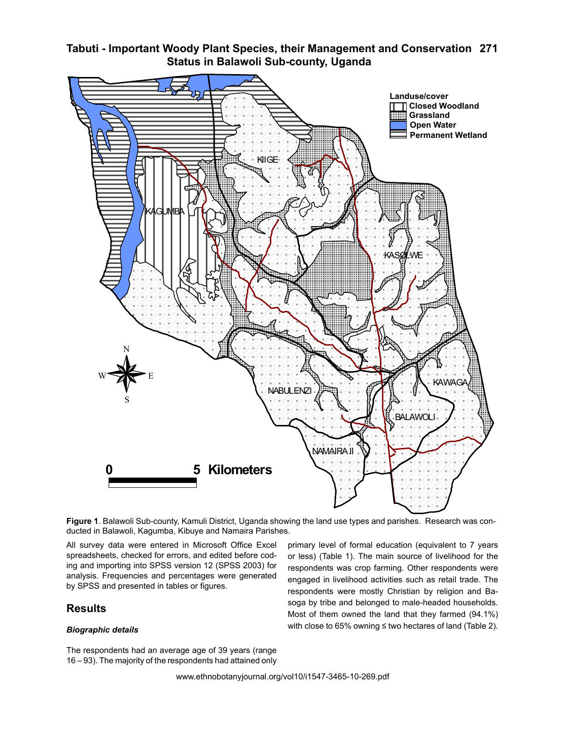



**Figure 1**. Balawoli Sub-county, Kamuli District, Uganda showing the land use types and parishes. Research was conducted in Balawoli, Kagumba, Kibuye and Namaira Parishes.

All survey data were entered in Microsoft Office Excel spreadsheets, checked for errors, and edited before coding and importing into SPSS version 12 (SPSS 2003) for analysis. Frequencies and percentages were generated by SPSS and presented in tables or figures.

### **Results**

#### *Biographic details*

primary level of formal education (equivalent to 7 years or less) (Table 1). The main source of livelihood for the respondents was crop farming. Other respondents were engaged in livelihood activities such as retail trade. The respondents were mostly Christian by religion and Basoga by tribe and belonged to male-headed households. Most of them owned the land that they farmed (94.1%) with close to 65% owning  $\leq$  two hectares of land (Table 2).

The respondents had an average age of 39 years (range 16 – 93). The majority of the respondents had attained only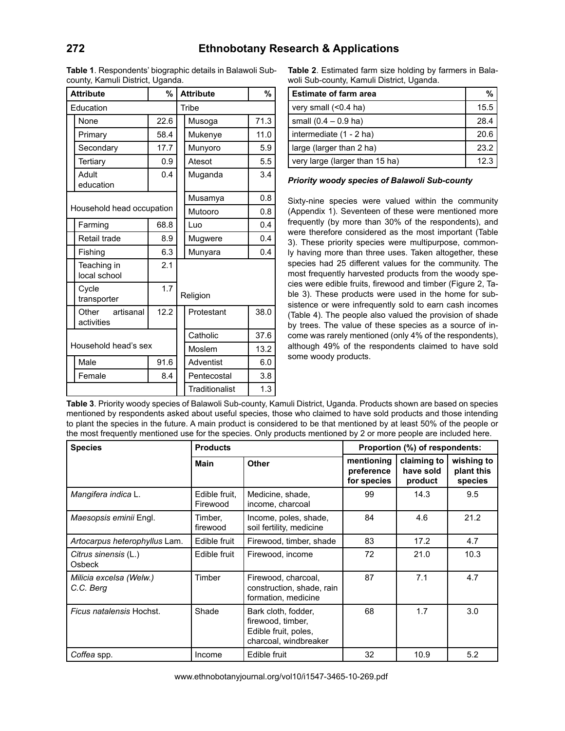| <b>Attribute</b><br>%            |      | <b>Attribute</b> |                | %    |
|----------------------------------|------|------------------|----------------|------|
| Education                        |      | Tribe            |                |      |
| None                             | 22.6 |                  | Musoga         | 71.3 |
| Primary                          | 58.4 |                  | Mukenye        | 11.0 |
| Secondary                        | 17.7 |                  | Munyoro        | 5.9  |
| Tertiary                         | 0.9  |                  | Atesot         | 5.5  |
| Adult<br>education               | 0.4  |                  | Muganda        | 3.4  |
|                                  |      |                  | Musamya        | 0.8  |
| Household head occupation        |      |                  | Mutooro        | 0.8  |
| Farming                          | 68.8 |                  | Luo            | 0.4  |
| Retail trade                     | 8.9  |                  | Mugwere        | 0.4  |
| Fishing                          | 6.3  |                  | Munyara        | 0.4  |
| Teaching in<br>local school      | 2.1  |                  |                |      |
| Cycle<br>transporter             | 1.7  |                  | Religion       |      |
| Other<br>artisanal<br>activities | 12.2 |                  | Protestant     | 38.0 |
|                                  |      |                  | Catholic       | 37.6 |
| Household head's sex             |      |                  | Moslem         | 13.2 |
| Male                             | 91.6 |                  | Adventist      | 6.0  |
| Female                           | 8.4  |                  | Pentecostal    | 3.8  |
|                                  |      |                  | Traditionalist | 1.3  |

**Table 1**. Respondents' biographic details in Balawoli Subcounty, Kamuli District, Uganda.

**Table 2**. Estimated farm size holding by farmers in Balawoli Sub-county, Kamuli District, Uganda.

| <b>Estimate of farm area</b>   |      |
|--------------------------------|------|
| very small $($ < 0.4 ha)       | 15.5 |
| small $(0.4 - 0.9$ ha)         | 28.4 |
| intermediate (1 - 2 ha)        | 20.6 |
| large (larger than 2 ha)       | 23.2 |
| very large (larger than 15 ha) | 12.3 |

#### *Priority woody species of Balawoli Sub-county*

Sixty-nine species were valued within the community (Appendix 1). Seventeen of these were mentioned more frequently (by more than 30% of the respondents), and were therefore considered as the most important (Table 3). These priority species were multipurpose, commonly having more than three uses. Taken altogether, these species had 25 different values for the community. The most frequently harvested products from the woody species were edible fruits, firewood and timber (Figure 2, Table 3). These products were used in the home for subsistence or were infrequently sold to earn cash incomes (Table 4). The people also valued the provision of shade by trees. The value of these species as a source of income was rarely mentioned (only 4% of the respondents), although 49% of the respondents claimed to have sold some woody products.

**Table 3**. Priority woody species of Balawoli Sub-county, Kamuli District, Uganda. Products shown are based on species mentioned by respondents asked about useful species, those who claimed to have sold products and those intending to plant the species in the future. A main product is considered to be that mentioned by at least 50% of the people or the most frequently mentioned use for the species. Only products mentioned by 2 or more people are included here.

| <b>Species</b>                       | <b>Products</b>           |                                                                                           | Proportion (%) of respondents:          |                                     |                                     |  |
|--------------------------------------|---------------------------|-------------------------------------------------------------------------------------------|-----------------------------------------|-------------------------------------|-------------------------------------|--|
|                                      | <b>Main</b>               | <b>Other</b>                                                                              | mentioning<br>preference<br>for species | claiming to<br>have sold<br>product | wishing to<br>plant this<br>species |  |
| Mangifera indica L.                  | Edible fruit,<br>Firewood | Medicine, shade,<br>income, charcoal                                                      | 99                                      | 14.3                                | 9.5                                 |  |
| Maesopsis eminii Engl.               | Timber.<br>firewood       | Income, poles, shade,<br>soil fertility, medicine                                         | 84                                      | 4.6                                 | 21.2                                |  |
| Artocarpus heterophyllus Lam.        | Edible fruit              | Firewood, timber, shade                                                                   | 83                                      | 17.2                                | 4.7                                 |  |
| Citrus sinensis (L.)<br>Osbeck       | Edible fruit              | Firewood, income                                                                          | 72                                      | 21.0                                | 10.3                                |  |
| Milicia excelsa (Welw.)<br>C.C. Berg | Timber                    | Firewood, charcoal,<br>construction, shade, rain<br>formation, medicine                   | 87                                      | 7.1                                 | 4.7                                 |  |
| Ficus natalensis Hochst.             | Shade                     | Bark cloth, fodder,<br>firewood, timber,<br>Edible fruit, poles,<br>charcoal, windbreaker | 68                                      | 1.7                                 | 3.0                                 |  |
| Coffea spp.                          | Income                    | Edible fruit                                                                              | 32                                      | 10.9                                | 5.2                                 |  |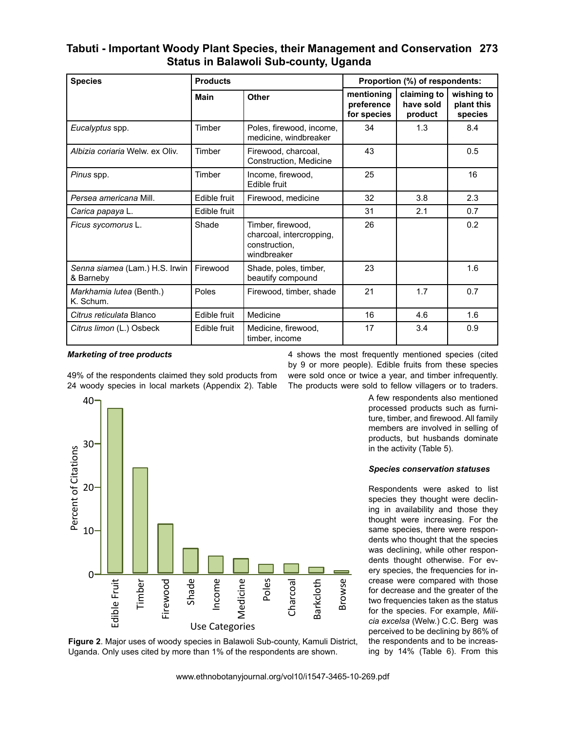### **Tabuti - Important Woody Plant Species, their Management and Conservation 273 Status in Balawoli Sub-county, Uganda**

| <b>Products</b><br><b>Species</b>           |              |                                                                               |                                         | Proportion (%) of respondents:      |                                     |
|---------------------------------------------|--------------|-------------------------------------------------------------------------------|-----------------------------------------|-------------------------------------|-------------------------------------|
|                                             | <b>Main</b>  | <b>Other</b>                                                                  | mentioning<br>preference<br>for species | claiming to<br>have sold<br>product | wishing to<br>plant this<br>species |
| Eucalyptus spp.                             | Timber       | Poles, firewood, income,<br>medicine, windbreaker                             | 34                                      | 1.3                                 | 8.4                                 |
| Albizia coriaria Welw, ex Oliv.             | Timber       | Firewood, charcoal,<br>Construction, Medicine                                 | 43                                      |                                     | 0.5                                 |
| Pinus spp.                                  | Timber       | Income, firewood,<br>Edible fruit                                             | 25                                      |                                     | 16                                  |
| Persea americana Mill.                      | Edible fruit | Firewood, medicine                                                            | 32                                      | 3.8                                 | 2.3                                 |
| Carica papaya L.                            | Edible fruit |                                                                               | 31                                      | 2.1                                 | 0.7                                 |
| Ficus sycomorus L.                          | Shade        | Timber, firewood,<br>charcoal, intercropping,<br>construction,<br>windbreaker | 26                                      |                                     | 0.2                                 |
| Senna siamea (Lam.) H.S. Irwin<br>& Barneby | Firewood     | Shade, poles, timber,<br>beautify compound                                    | 23                                      |                                     | 1.6                                 |
| Markhamia lutea (Benth.)<br>K. Schum.       | Poles        | Firewood, timber, shade                                                       | 21                                      | 1.7                                 | 0.7                                 |
| Citrus reticulata Blanco                    | Edible fruit | Medicine                                                                      | 16                                      | 4.6                                 | 1.6                                 |
| Citrus limon (L.) Osbeck                    | Edible fruit | Medicine, firewood,<br>timber, income                                         | 17                                      | 3.4                                 | 0.9                                 |

#### *Marketing of tree products*

49% of the respondents claimed they sold products from 24 woody species in local markets (Appendix 2). Table





4 shows the most frequently mentioned species (cited by 9 or more people). Edible fruits from these species were sold once or twice a year, and timber infrequently. The products were sold to fellow villagers or to traders.

> A few respondents also mentioned processed products such as furniture, timber, and firewood. All family members are involved in selling of products, but husbands dominate in the activity (Table 5).

#### *Species conservation statuses*

Percent of Citations Respondents were asked to list species they thought were declining in availability and those they thought were increasing. For the same species, there were respondents who thought that the species was declining, while other respondents thought otherwise. For every species, the frequencies for increase were compared with those for decrease and the greater of the two frequencies taken as the status for the species. For example, *Milicia excelsa* (Welw.) C.C. Berg was perceived to be declining by 86% of the respondents and to be increasing by 14% (Table 6). From this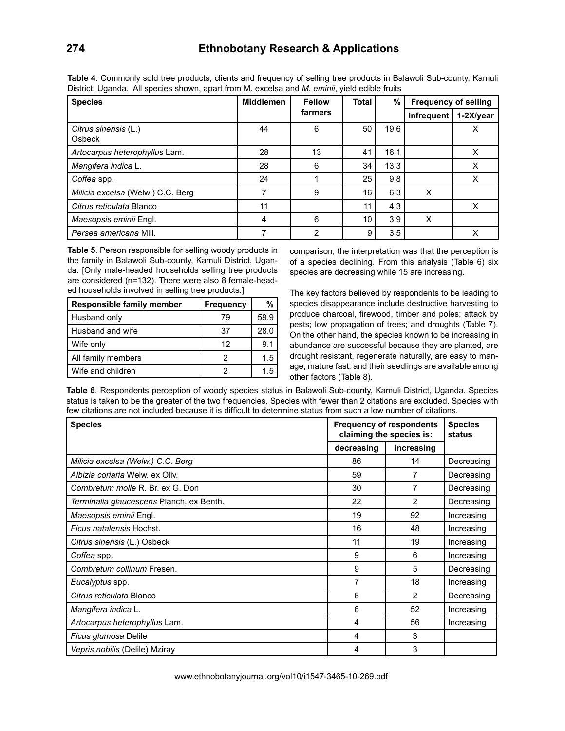| <b>Species</b>                        | <b>Middlemen</b> | <b>Fellow</b> | <b>Total</b> | %    | <b>Frequency of selling</b> |           |
|---------------------------------------|------------------|---------------|--------------|------|-----------------------------|-----------|
|                                       |                  | farmers       |              |      | Infrequent                  | 1-2X/year |
| Citrus sinensis (L.)<br><b>Osbeck</b> | 44               | 6             | 50           | 19.6 |                             |           |
| Artocarpus heterophyllus Lam.         | 28               | 13            | 41           | 16.1 |                             |           |
| Mangifera indica L.                   | 28               | 6             | 34           | 13.3 |                             | X         |
| Coffea spp.                           | 24               |               | 25           | 9.8  |                             | x         |
| Milicia excelsa (Welw.) C.C. Berg     |                  | 9             | 16           | 6.3  | X                           |           |
| Citrus reticulata Blanco              | 11               |               | 11           | 4.3  |                             | x         |
| Maesopsis eminii Engl.                | 4                | 6             | 10           | 3.9  | X                           |           |
| Persea americana Mill.                |                  | 2             | 9            | 3.5  |                             |           |

**Table 4**. Commonly sold tree products, clients and frequency of selling tree products in Balawoli Sub-county, Kamuli District, Uganda. All species shown, apart from M. excelsa and *M. eminii*, yield edible fruits

**Table 5**. Person responsible for selling woody products in the family in Balawoli Sub-county, Kamuli District, Uganda. [Only male-headed households selling tree products are considered (n=132). There were also 8 female-headed households involved in selling tree products.]

| Responsible family member | <b>Frequency</b> | %    |
|---------------------------|------------------|------|
| Husband only              | 79               | 59.9 |
| Husband and wife          | 37               | 28.0 |
| Wife only                 | 12               | 9.1  |
| All family members        |                  | 1.5  |
| Wife and children         |                  | 1.5  |

comparison, the interpretation was that the perception is of a species declining. From this analysis (Table 6) six species are decreasing while 15 are increasing.

The key factors believed by respondents to be leading to species disappearance include destructive harvesting to produce charcoal, firewood, timber and poles; attack by pests; low propagation of trees; and droughts (Table 7). On the other hand, the species known to be increasing in abundance are successful because they are planted, are drought resistant, regenerate naturally, are easy to manage, mature fast, and their seedlings are available among other factors (Table 8).

**Table 6**. Respondents perception of woody species status in Balawoli Sub-county, Kamuli District, Uganda. Species status is taken to be the greater of the two frequencies. Species with fewer than 2 citations are excluded. Species with few citations are not included because it is difficult to determine status from such a low number of citations.

| <b>Species</b>                           | <b>Frequency of respondents</b><br>claiming the species is: |            | <b>Species</b><br>status |
|------------------------------------------|-------------------------------------------------------------|------------|--------------------------|
|                                          | decreasing                                                  | increasing |                          |
| Milicia excelsa (Welw.) C.C. Berg        | 86                                                          | 14         | Decreasing               |
| Albizia coriaria Welw, ex Oliv,          | 59                                                          | 7          | Decreasing               |
| Combretum molle R. Br. ex G. Don         | 30                                                          | 7          | Decreasing               |
| Terminalia glaucescens Planch. ex Benth. | 22                                                          | 2          | Decreasing               |
| Maesopsis eminii Engl.                   | 19                                                          | 92         | Increasing               |
| Ficus natalensis Hochst.                 | 16                                                          | 48         | Increasing               |
| Citrus sinensis (L.) Osbeck              | 11                                                          | 19         | Increasing               |
| Coffea spp.                              | 9                                                           | 6          | Increasing               |
| Combretum collinum Fresen.               | 9                                                           | 5          | Decreasing               |
| Eucalyptus spp.                          | 7                                                           | 18         | Increasing               |
| Citrus reticulata Blanco                 | 6                                                           | 2          | Decreasing               |
| Mangifera indica L.                      | 6                                                           | 52         | Increasing               |
| Artocarpus heterophyllus Lam.            | 4                                                           | 56         | Increasing               |
| Ficus glumosa Delile                     | 4                                                           | 3          |                          |
| Vepris nobilis (Delile) Mziray           | 4                                                           | 3          |                          |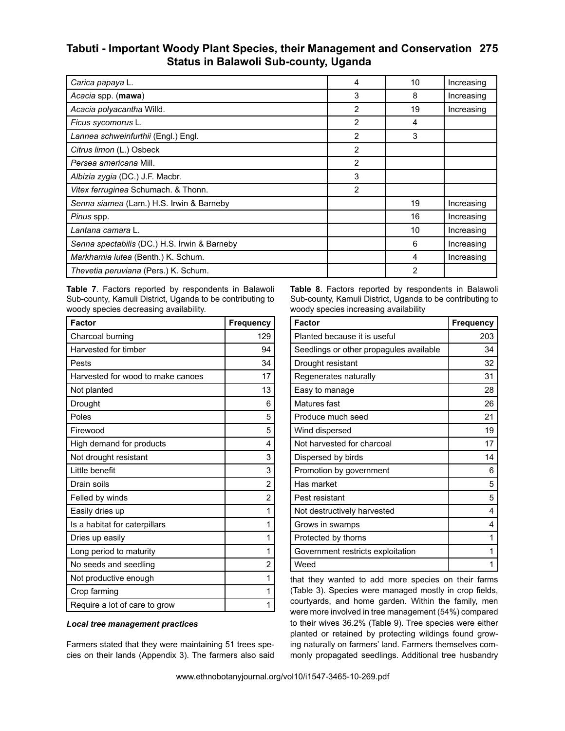### **Tabuti - Important Woody Plant Species, their Management and Conservation 275 Status in Balawoli Sub-county, Uganda**

| Carica papaya L.                             | 4              | 10 | Increasing |
|----------------------------------------------|----------------|----|------------|
| Acacia spp. (mawa)                           | 3              | 8  | Increasing |
| Acacia polyacantha Willd.                    | 2              | 19 | Increasing |
| Ficus sycomorus L.                           | $\overline{2}$ | 4  |            |
| Lannea schweinfurthii (Engl.) Engl.          | 2              | 3  |            |
| Citrus limon (L.) Osbeck                     | 2              |    |            |
| <i>Persea americana Mill.</i>                | $\overline{2}$ |    |            |
| Albizia zygia (DC.) J.F. Macbr.              | 3              |    |            |
| Vitex ferruginea Schumach. & Thonn.          | $\overline{2}$ |    |            |
| Senna siamea (Lam.) H.S. Irwin & Barneby     |                | 19 | Increasing |
| Pinus spp.                                   |                | 16 | Increasing |
| Lantana camara L.                            |                | 10 | Increasing |
| Senna spectabilis (DC.) H.S. Irwin & Barneby |                | 6  | Increasing |
| Markhamia lutea (Benth.) K. Schum.           |                | 4  | Increasing |
| Thevetia peruviana (Pers.) K. Schum.         |                | 2  |            |

**Table 7**. Factors reported by respondents in Balawoli Sub-county, Kamuli District, Uganda to be contributing to woody species decreasing availability.

| <b>Factor</b>                     | <b>Frequency</b> |
|-----------------------------------|------------------|
| Charcoal burning                  | 129              |
| Harvested for timber              | 94               |
| Pests                             | 34               |
| Harvested for wood to make canoes | 17               |
| Not planted                       | 13               |
| Drought                           | 6                |
| Poles                             | 5                |
| Firewood                          | 5                |
| High demand for products          | 4                |
| Not drought resistant             | 3                |
| Little benefit                    | 3                |
| Drain soils                       | $\overline{2}$   |
| Felled by winds                   | $\overline{2}$   |
| Easily dries up                   | 1                |
| Is a habitat for caterpillars     | 1                |
| Dries up easily                   | 1                |
| Long period to maturity           | 1                |
| No seeds and seedling             | 2                |
| Not productive enough             | 1                |
| Crop farming                      |                  |
| Require a lot of care to grow     |                  |

#### *Local tree management practices*

Farmers stated that they were maintaining 51 trees species on their lands (Appendix 3). The farmers also said **Table 8**. Factors reported by respondents in Balawoli Sub-county, Kamuli District, Uganda to be contributing to woody species increasing availability

| <b>Factor</b>                           | Frequency |
|-----------------------------------------|-----------|
| Planted because it is useful            | 203       |
| Seedlings or other propagules available | 34        |
| Drought resistant                       | 32        |
| Regenerates naturally                   | 31        |
| Easy to manage                          | 28        |
| Matures fast                            | 26        |
| Produce much seed                       | 21        |
| Wind dispersed                          | 19        |
| Not harvested for charcoal              | 17        |
| Dispersed by birds                      | 14        |
| Promotion by government                 | 6         |
| Has market                              | 5         |
| Pest resistant                          | 5         |
| Not destructively harvested             | 4         |
| Grows in swamps                         | 4         |
| Protected by thorns                     | 1         |
| Government restricts exploitation       | 1         |
| Weed                                    |           |

that they wanted to add more species on their farms (Table 3). Species were managed mostly in crop fields, courtyards, and home garden. Within the family, men were more involved in tree management (54%) compared to their wives 36.2% (Table 9). Tree species were either planted or retained by protecting wildings found growing naturally on farmers' land. Farmers themselves commonly propagated seedlings. Additional tree husbandry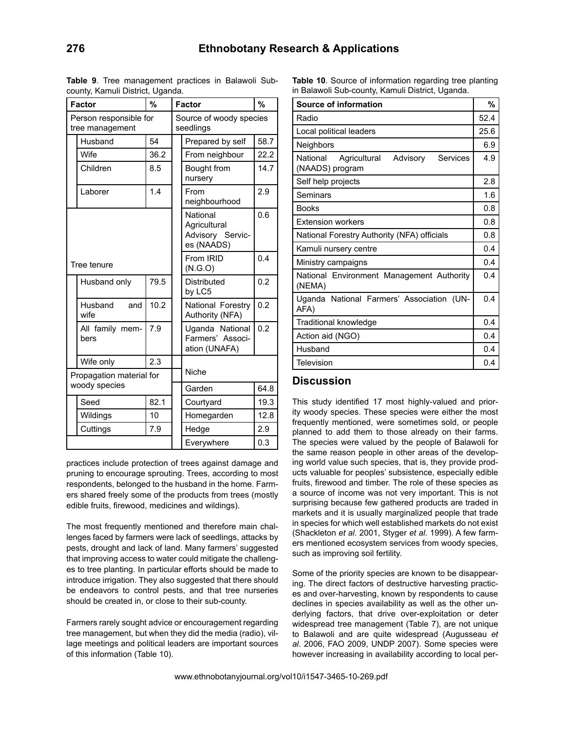|                                           | <b>Factor</b>            | %                                    |                                                            | <b>Factor</b>                                        | %    |
|-------------------------------------------|--------------------------|--------------------------------------|------------------------------------------------------------|------------------------------------------------------|------|
| Person responsible for<br>tree management |                          | Source of woody species<br>seedlings |                                                            |                                                      |      |
|                                           | Husband                  | 54                                   |                                                            | Prepared by self                                     | 58.7 |
|                                           | Wife                     | 36.2                                 |                                                            | From neighbour                                       | 22.2 |
|                                           | Children                 | 8.5                                  |                                                            | Bought from<br>nursery                               | 14.7 |
|                                           | Laborer                  | 1.4                                  |                                                            | From<br>neighbourhood                                | 2.9  |
|                                           |                          |                                      | National<br>Agricultural<br>Advisory Servic-<br>es (NAADS) | 0.6                                                  |      |
|                                           | Tree tenure              |                                      |                                                            | From IRID<br>(N.G.O)                                 | 0.4  |
|                                           | Husband only             | 79.5                                 |                                                            | <b>Distributed</b><br>by LC5                         | 0.2  |
|                                           | Husband<br>and<br>wife   | 10.2                                 |                                                            | National Forestry<br>Authority (NFA)                 | 0.2  |
|                                           | All family mem-<br>bers  | 7.9                                  |                                                            | Uganda National<br>Farmers' Associ-<br>ation (UNAFA) | 0.2  |
|                                           | Wife only                | 2.3                                  |                                                            |                                                      |      |
|                                           | Propagation material for |                                      |                                                            | Niche                                                |      |
| woody species                             |                          |                                      |                                                            | Garden                                               | 64.8 |
|                                           | Seed                     | 82.1                                 |                                                            | Courtyard                                            | 19.3 |
|                                           | Wildings                 | 10                                   |                                                            | Homegarden                                           | 12.8 |
|                                           | Cuttings                 | 7.9                                  |                                                            | Hedge                                                | 2.9  |
|                                           |                          |                                      |                                                            | Everywhere                                           | 0.3  |

**Table 9**. Tree management practices in Balawoli Subcounty, Kamuli District, Uganda.

**Table 10**. Source of information regarding tree planting in Balawoli Sub-county, Kamuli District, Uganda.

| Source of information                                               | %    |  |  |  |
|---------------------------------------------------------------------|------|--|--|--|
| Radio                                                               | 52.4 |  |  |  |
| Local political leaders                                             | 25.6 |  |  |  |
| Neighbors                                                           | 6.9  |  |  |  |
| National<br>Services<br>Agricultural<br>Advisory<br>(NAADS) program | 4.9  |  |  |  |
| Self help projects                                                  | 2.8  |  |  |  |
| Seminars                                                            | 1.6  |  |  |  |
| <b>Books</b>                                                        | 0.8  |  |  |  |
| <b>Extension workers</b>                                            |      |  |  |  |
| National Forestry Authority (NFA) officials                         |      |  |  |  |
| Kamuli nursery centre                                               | 0.4  |  |  |  |
| Ministry campaigns                                                  |      |  |  |  |
| National Environment Management Authority<br>(NEMA)                 | 0.4  |  |  |  |
| Uganda National Farmers' Association (UN-<br>AFA)                   | 0.4  |  |  |  |
| Traditional knowledge                                               |      |  |  |  |
| Action aid (NGO)                                                    |      |  |  |  |
| Husband                                                             | 0.4  |  |  |  |
| Television                                                          | 0.4  |  |  |  |

### **Discussion**

This study identified 17 most highly-valued and priority woody species. These species were either the most frequently mentioned, were sometimes sold, or people planned to add them to those already on their farms. The species were valued by the people of Balawoli for the same reason people in other areas of the developing world value such species, that is, they provide products valuable for peoples' subsistence, especially edible fruits, firewood and timber. The role of these species as a source of income was not very important. This is not surprising because few gathered products are traded in markets and it is usually marginalized people that trade in species for which well established markets do not exist (Shackleton *et al*. 2001, Styger *et al*. 1999). A few farmers mentioned ecosystem services from woody species, such as improving soil fertility.

Some of the priority species are known to be disappearing. The direct factors of destructive harvesting practices and over-harvesting, known by respondents to cause declines in species availability as well as the other underlying factors, that drive over-exploitation or deter widespread tree management (Table 7), are not unique to Balawoli and are quite widespread (Augusseau *et al*. 2006, FAO 2009, UNDP 2007). Some species were however increasing in availability according to local per-

practices include protection of trees against damage and pruning to encourage sprouting. Trees, according to most respondents, belonged to the husband in the home. Farmers shared freely some of the products from trees (mostly edible fruits, firewood, medicines and wildings).

The most frequently mentioned and therefore main challenges faced by farmers were lack of seedlings, attacks by pests, drought and lack of land. Many farmers' suggested that improving access to water could mitigate the challenges to tree planting. In particular efforts should be made to introduce irrigation. They also suggested that there should be endeavors to control pests, and that tree nurseries should be created in, or close to their sub-county.

Farmers rarely sought advice or encouragement regarding tree management, but when they did the media (radio), village meetings and political leaders are important sources of this information (Table 10).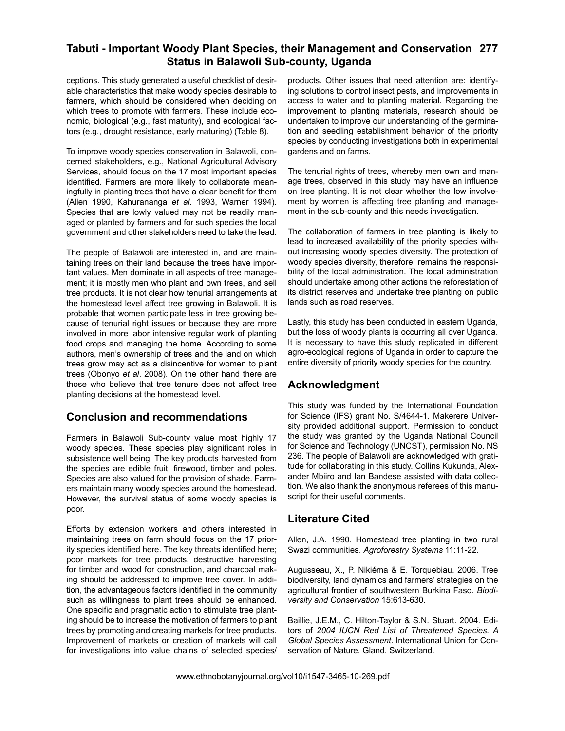### **Tabuti - Important Woody Plant Species, their Management and Conservation 277 Status in Balawoli Sub-county, Uganda**

ceptions. This study generated a useful checklist of desirable characteristics that make woody species desirable to farmers, which should be considered when deciding on which trees to promote with farmers. These include economic, biological (e.g., fast maturity), and ecological factors (e.g., drought resistance, early maturing) (Table 8).

To improve woody species conservation in Balawoli, concerned stakeholders, e.g., National Agricultural Advisory Services, should focus on the 17 most important species identified. Farmers are more likely to collaborate meaningfully in planting trees that have a clear benefit for them (Allen 1990, Kahurananga *et al*. 1993, Warner 1994). Species that are lowly valued may not be readily managed or planted by farmers and for such species the local government and other stakeholders need to take the lead.

The people of Balawoli are interested in, and are maintaining trees on their land because the trees have important values. Men dominate in all aspects of tree management; it is mostly men who plant and own trees, and sell tree products. It is not clear how tenurial arrangements at the homestead level affect tree growing in Balawoli. It is probable that women participate less in tree growing because of tenurial right issues or because they are more involved in more labor intensive regular work of planting food crops and managing the home. According to some authors, men's ownership of trees and the land on which trees grow may act as a disincentive for women to plant trees (Obonyo *et al*. 2008). On the other hand there are those who believe that tree tenure does not affect tree planting decisions at the homestead level.

### **Conclusion and recommendations**

Farmers in Balawoli Sub-county value most highly 17 woody species. These species play significant roles in subsistence well being. The key products harvested from the species are edible fruit, firewood, timber and poles. Species are also valued for the provision of shade. Farmers maintain many woody species around the homestead. However, the survival status of some woody species is poor.

Efforts by extension workers and others interested in maintaining trees on farm should focus on the 17 priority species identified here. The key threats identified here; poor markets for tree products, destructive harvesting for timber and wood for construction, and charcoal making should be addressed to improve tree cover. In addition, the advantageous factors identified in the community such as willingness to plant trees should be enhanced. One specific and pragmatic action to stimulate tree planting should be to increase the motivation of farmers to plant trees by promoting and creating markets for tree products. Improvement of markets or creation of markets will call for investigations into value chains of selected species/

products. Other issues that need attention are: identifying solutions to control insect pests, and improvements in access to water and to planting material. Regarding the improvement to planting materials, research should be undertaken to improve our understanding of the germination and seedling establishment behavior of the priority species by conducting investigations both in experimental gardens and on farms.

The tenurial rights of trees, whereby men own and manage trees, observed in this study may have an influence on tree planting. It is not clear whether the low involvement by women is affecting tree planting and management in the sub-county and this needs investigation.

The collaboration of farmers in tree planting is likely to lead to increased availability of the priority species without increasing woody species diversity. The protection of woody species diversity, therefore, remains the responsibility of the local administration. The local administration should undertake among other actions the reforestation of its district reserves and undertake tree planting on public lands such as road reserves.

Lastly, this study has been conducted in eastern Uganda, but the loss of woody plants is occurring all over Uganda. It is necessary to have this study replicated in different agro-ecological regions of Uganda in order to capture the entire diversity of priority woody species for the country.

### **Acknowledgment**

This study was funded by the International Foundation for Science (IFS) grant No. S/4644-1. Makerere University provided additional support. Permission to conduct the study was granted by the Uganda National Council for Science and Technology (UNCST), permission No. NS 236. The people of Balawoli are acknowledged with gratitude for collaborating in this study. Collins Kukunda, Alexander Mbiiro and Ian Bandese assisted with data collection. We also thank the anonymous referees of this manuscript for their useful comments.

### **Literature Cited**

Allen, J.A. 1990. Homestead tree planting in two rural Swazi communities. *Agroforestry Systems* 11:11-22.

Augusseau, X., P. Nikiéma & E. Torquebiau. 2006. Tree biodiversity, land dynamics and farmers' strategies on the agricultural frontier of southwestern Burkina Faso. *Biodiversity and Conservation* 15:613-630.

Baillie, J.E.M., C. Hilton-Taylor & S.N. Stuart. 2004. Editors of *2004 IUCN Red List of Threatened Species. A Global Species Assessment*. International Union for Conservation of Nature, Gland, Switzerland.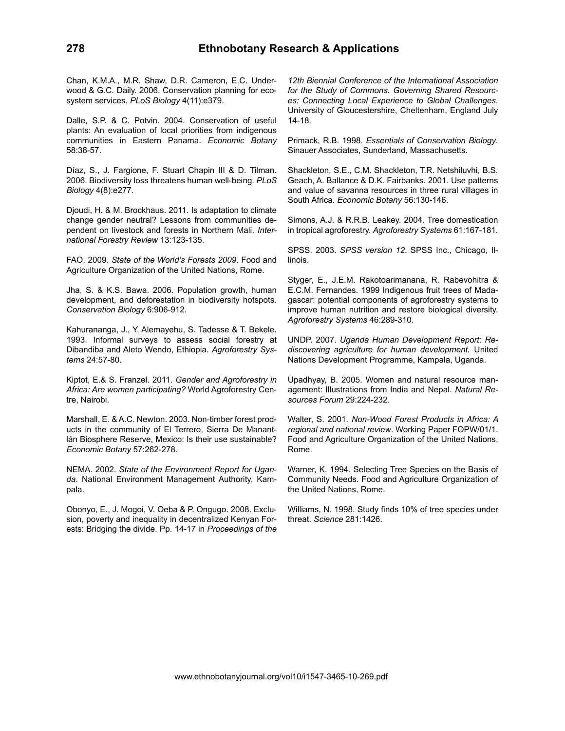Chan, K.M.A., M.R. Shaw, D.R. Cameron, E.C. Underwood & G.C. Daily. 2006. Conservation planning for ecosystem services. *PLoS Biology* 4(11):e379.

Dalle, S.P. & C. Potvin. 2004. Conservation of useful plants: An evaluation of local priorities from indigenous communities in Eastern Panama. *Economic Botany* 58:38-57.

Díaz, S., J. Fargione, F. Stuart Chapin III & D. Tilman. 2006. Biodiversity loss threatens human well-being. *PLoS Biology* 4(8):e277.

Djoudi, H. & M. Brockhaus. 2011. Is adaptation to climate change gender neutral? Lessons from communities dependent on livestock and forests in Northern Mali. *International Forestry Review* 13:123-135.

FAO. 2009. *State of the World's Forests 2009*. Food and Agriculture Organization of the United Nations, Rome.

Jha, S. & K.S. Bawa. 2006. Population growth, human development, and deforestation in biodiversity hotspots. *Conservation Biology* 6:906-912.

Kahurananga, J., Y. Alemayehu, S. Tadesse & T. Bekele. 1993. Informal surveys to assess social forestry at Dibandiba and Aleto Wendo, Ethiopia. *Agroforestry Systems* 24:57-80.

Kiptot, E.& S. Franzel. 2011. *Gender and Agroforestry in Africa: Are women participating?* World Agroforestry Centre, Nairobi.

Marshall, E. & A.C. Newton. 2003. Non-timber forest products in the community of El Terrero, Sierra De Manantlán Biosphere Reserve, Mexico: Is their use sustainable? *Economic Botany* 57:262-278.

NEMA. 2002. *State of the Environment Report for Uganda*. National Environment Management Authority, Kampala.

Obonyo, E., J. Mogoi, V. Oeba & P. Ongugo. 2008. Exclusion, poverty and inequality in decentralized Kenyan Forests: Bridging the divide. Pp. 14-17 in *Proceedings of the* 

*12th Biennial Conference of the International Association for the Study of Commons. Governing Shared Resources: Connecting Local Experience to Global Challenges*. University of Gloucestershire, Cheltenham, England July 14-18.

Primack, R.B. 1998. *Essentials of Conservation Biology*. Sinauer Associates, Sunderland, Massachusetts.

Shackleton, S.E., C.M. Shackleton, T.R. Netshiluvhi, B.S. Geach, A. Ballance & D.K. Fairbanks. 2001. Use patterns and value of savanna resources in three rural villages in South Africa. *Economic Botany* 56:130-146.

Simons, A.J. & R.R.B. Leakey. 2004. Tree domestication in tropical agroforestry. *Agroforestry Systems* 61:167-181.

SPSS. 2003. *SPSS version 12*. SPSS Inc., Chicago, Illinois.

Styger, E., J.E.M. Rakotoarimanana, R. Rabevohitra & E.C.M. Fernandes. 1999 Indigenous fruit trees of Madagascar: potential components of agroforestry systems to improve human nutrition and restore biological diversity. *Agroforestry Systems* 46:289-310.

UNDP. 2007. *Uganda Human Development Report*: *Rediscovering agriculture for human development.* United Nations Development Programme, Kampala, Uganda.

Upadhyay, B. 2005. Women and natural resource management: Illustrations from India and Nepal. *Natural Resources Forum* 29:224-232.

Walter, S. 2001. *Non-Wood Forest Products in Africa: A regional and national review*. Working Paper FOPW/01/1. Food and Agriculture Organization of the United Nations, Rome.

Warner, K. 1994. Selecting Tree Species on the Basis of Community Needs. Food and Agriculture Organization of the United Nations, Rome.

Williams, N. 1998. Study finds 10% of tree species under threat. *Science* 281:1426.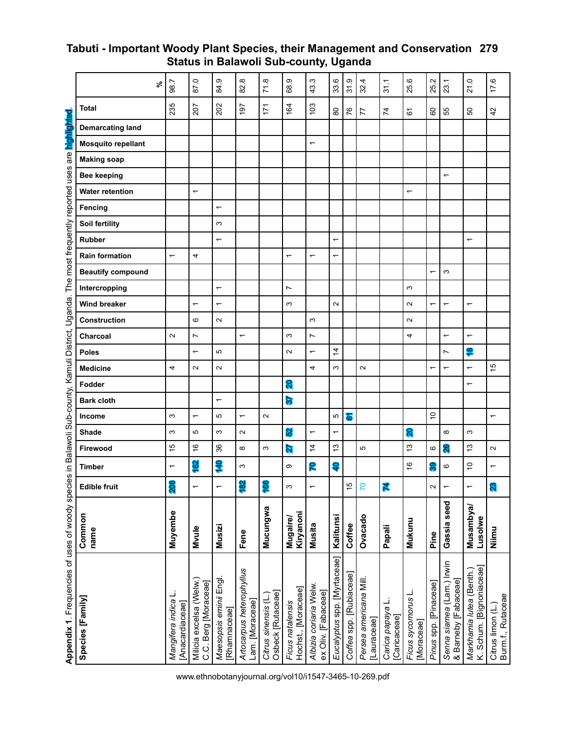### **Tabuti - Important Woody Plant Species, their Management and Conservation 279 Status in Balawoli Sub-county, Uganda**

| Appendix 1. Frequencies of uses of woody spec             |                             |                                         | ies in Balawoli Sub-county, Kamuli District, |                |                          |                          |                          |                          |                          |                                            |              | Uganda.                  |                          |                          |                          |                          |                |                          |                          |                          |                    | The most frequently reported uses are highlighted |                         |                |                                     |
|-----------------------------------------------------------|-----------------------------|-----------------------------------------|----------------------------------------------|----------------|--------------------------|--------------------------|--------------------------|--------------------------|--------------------------|--------------------------------------------|--------------|--------------------------|--------------------------|--------------------------|--------------------------|--------------------------|----------------|--------------------------|--------------------------|--------------------------|--------------------|---------------------------------------------------|-------------------------|----------------|-------------------------------------|
| Species [Family]                                          | Common<br>name              | Edible fruit                            | <b>Timber</b>                                | Firewood       | <b>Shade</b>             | Income                   | <b>Bark cloth</b>        | Fodder                   | <b>Medicine</b>          | <b>Charcoal</b><br><b>Poles</b>            | Construction | <b>Wind breaker</b>      | Intercropping            | <b>Beautify compound</b> | <b>Rain formation</b>    | <b>Rubber</b>            | Soil fertility | Fencing                  | <b>Water retention</b>   | <b>Bee keeping</b>       | <b>Making soap</b> | <b>Mosquito repellant</b>                         | <b>Demarcating land</b> | Total          | వ్                                  |
| Mangifera indica<br>[Anacardiaceae]                       | Muyembe                     | $\bullet$<br><mark>20</mark>            | $\overline{\phantom{0}}$                     | 15             | ო                        | S                        |                          |                          | 4                        | $\sim$                                     |              |                          |                          |                          | $\overline{\phantom{0}}$ |                          |                |                          |                          |                          |                    |                                                   |                         | 235            | 98.7                                |
| Milicia excelsa (Welw.)<br>C.C. Berg [Moraceae]           | Mvule                       |                                         | 162                                          | $\frac{6}{5}$  | မဂ                       | $\overline{\phantom{0}}$ |                          |                          | $\sim$                   | Ľ<br>$\overline{\phantom{0}}$              | စ            | $\overline{\phantom{0}}$ |                          |                          | 4                        |                          |                |                          | $\overline{\phantom{0}}$ |                          |                    |                                                   |                         | 207            | 87.0                                |
| Maesopsis eminii Engl<br>[Rhamnaceae]                     | Musizi                      |                                         | 140                                          | 36             | ω                        | ю                        | $\overline{\phantom{0}}$ |                          | Z                        | 5                                          | Z            | $\overline{\phantom{0}}$ | $\overline{\phantom{0}}$ |                          |                          | $\overline{\phantom{0}}$ | ω              | $\overline{\phantom{0}}$ |                          |                          |                    |                                                   |                         | 202            | თ<br>$\mathfrak{A}$                 |
| Artocarpus heterophyllus<br>Lam. [Moraceae]               | Fene                        | $\mathbf{\alpha}$<br><mark>e,</mark>    | S                                            | $\infty$       | $\sim$                   | $\overline{ }$           |                          |                          |                          | $\overline{ }$                             |              |                          |                          |                          |                          |                          |                |                          |                          |                          |                    |                                                   |                         | 197            | ${}^{\circ}$<br>$\overline{\Omega}$ |
| Osbeck [Rutaceae]<br>Citrus sinensis (L.)                 | Mucungwa                    | $\boldsymbol{\omega}$<br><mark>e</mark> |                                              | S              |                          | $\sim$                   |                          |                          |                          |                                            |              |                          |                          |                          |                          |                          |                |                          |                          |                          |                    |                                                   |                         | 171            | 71.8                                |
| Hochst., [Moraceae]<br>Ficus natalensis                   | Kiryanoni<br>Mugaire/       | ო                                       | σ                                            | 72             | 52                       |                          | $\mathbf{c}$             | $\overline{20}$          |                          | S<br>$\mathbf{\Omega}$                     |              | ო                        | r                        |                          | $\overline{\phantom{0}}$ |                          |                |                          |                          |                          |                    |                                                   |                         | 164            | თ<br>68                             |
| Albizia coriaria Welw.<br>ex Oliv. [Fabaceae]             | Musita                      |                                         | 2                                            | $\overline{4}$ | $\overline{\phantom{0}}$ |                          |                          |                          | 4                        | L<br>$\overline{\phantom{0}}$              | ო            |                          |                          |                          | $\overline{\phantom{0}}$ |                          |                |                          |                          |                          |                    | $\overline{\phantom{0}}$                          |                         | 103            | 43.3                                |
| Eucalyptus spp. [Myrtaceae]                               | Kalitunsi                   |                                         | <b>Q</b>                                     | $\frac{1}{2}$  | $\overline{\phantom{0}}$ | Ю                        |                          |                          | S                        | $\dot{4}$                                  |              | $\sim$                   |                          |                          | $\overline{\phantom{0}}$ | $\overline{ }$           |                |                          |                          |                          |                    |                                                   |                         | 80             | 33.6                                |
| Coffea spp. [Rubiaceae]                                   | Coffee                      | $\frac{1}{2}$                           |                                              |                |                          | <u>ভ</u>                 |                          |                          |                          |                                            |              |                          |                          |                          |                          |                          |                |                          |                          |                          |                    |                                                   |                         | 76             | 31.9                                |
| Persea americana Mill<br>[Lauraceae]                      | Ovacado                     | $\overline{70}$                         |                                              | မာ             |                          |                          |                          |                          | $\sim$                   |                                            |              |                          |                          |                          |                          |                          |                |                          |                          |                          |                    |                                                   |                         | 77             | 32.4                                |
| Carica papaya<br>[Caricaceae]                             | Papali                      | <b>N</b>                                |                                              |                |                          |                          |                          |                          |                          |                                            |              |                          |                          |                          |                          |                          |                |                          |                          |                          |                    |                                                   |                         | $\overline{7}$ | 31.1                                |
| Ficus sycomorus L<br>[Moraceae]                           | Mukunu                      |                                         | $\overset{\circ}{\rightarrow}$               | $\frac{3}{2}$  | $\overline{\mathbf{S}}$  |                          |                          |                          |                          | 4                                          | $\sim$       | $\sim$                   | ω                        |                          |                          |                          |                |                          | $\overline{\phantom{0}}$ |                          |                    |                                                   |                         | 61             | 25.6                                |
| Pinus spp. [Pinaceae]                                     | Pine                        | $\sim$                                  | ႙ၟ                                           | $\circ$        |                          | $\overline{C}$           |                          |                          | ᠇                        |                                            |              | $\overline{ }$           |                          | $\overline{\phantom{0}}$ |                          |                          |                |                          |                          |                          |                    |                                                   |                         | 8              | 25.2                                |
| Se <i>nna siamea</i> (Lam.) Irwin<br>& Barneby [Fabaceae] | Gassia seed                 |                                         | $\circ$                                      | 26             | $\infty$                 |                          |                          |                          | $\overline{\phantom{0}}$ | $\overline{\phantom{0}}$<br>$\overline{ }$ |              | $\overline{\phantom{0}}$ |                          | S                        |                          |                          |                |                          |                          | $\overline{\phantom{0}}$ |                    |                                                   |                         | 55             | 23.1                                |
| K. Schum. [Bignoniaceae]<br>Markhamia lutea (Benth.)      | Musambya/<br><b>Lusolwe</b> | $\overline{\phantom{0}}$                | $\tilde{a}$                                  | 13             | ω                        |                          |                          | $\overline{\phantom{0}}$ | $\overline{ }$           | ↽<br><b><u>81</u></b>                      |              | $\overline{\phantom{0}}$ |                          |                          |                          | $\overline{\phantom{0}}$ |                |                          |                          |                          |                    |                                                   |                         | 50             | 21.0                                |
| Burm.f., Rutaceae<br>Citrus limon (L.)                    | Niimu                       | 23                                      |                                              | $\sim$         |                          | $\overline{\phantom{0}}$ |                          |                          | 10                       |                                            |              |                          |                          |                          |                          |                          |                |                          |                          |                          |                    |                                                   |                         | 42             | 17.6                                |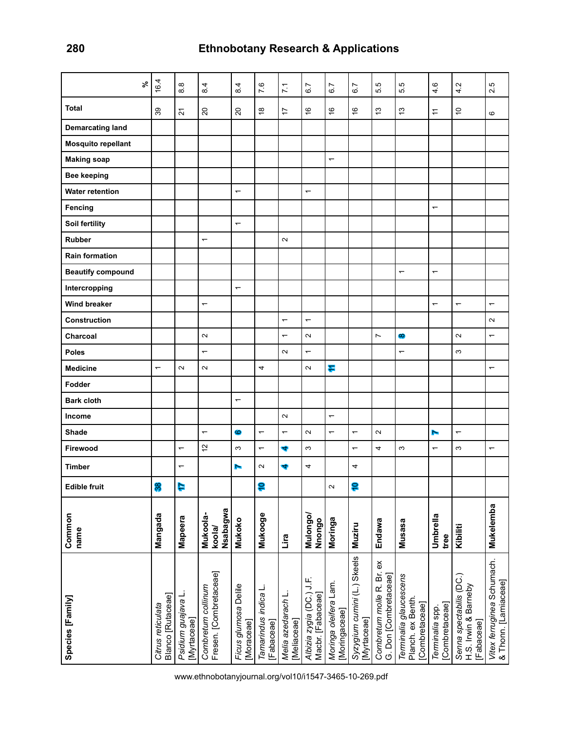| వి                        | 16.4                                   | $\frac{8}{8}$                    | 8.4                                          | $\overline{8}$                     | 7.6                               | $\tilde{z}$                      | 6.7                                           | $\overline{6}$ .7                      | 6.7                                        | Ю<br>ιó                                            | 5<br>ம்                                                       | 4.6                              | 4.2                                                         | Ю<br>$\mathbf{a}$                                  |
|---------------------------|----------------------------------------|----------------------------------|----------------------------------------------|------------------------------------|-----------------------------------|----------------------------------|-----------------------------------------------|----------------------------------------|--------------------------------------------|----------------------------------------------------|---------------------------------------------------------------|----------------------------------|-------------------------------------------------------------|----------------------------------------------------|
| Total                     | 39                                     | $\overline{2}$                   | $\overline{c}$                               | $\overline{0}$                     | $\frac{8}{1}$                     | 17                               | $\frac{6}{5}$                                 | $\frac{6}{5}$                          | $\frac{6}{1}$                              | 13                                                 | $\frac{3}{2}$                                                 | $\overline{r}$                   | $\tilde{c}$                                                 | $\circ$                                            |
| <b>Demarcating land</b>   |                                        |                                  |                                              |                                    |                                   |                                  |                                               |                                        |                                            |                                                    |                                                               |                                  |                                                             |                                                    |
| <b>Mosquito repellant</b> |                                        |                                  |                                              |                                    |                                   |                                  |                                               |                                        |                                            |                                                    |                                                               |                                  |                                                             |                                                    |
| <b>Making soap</b>        |                                        |                                  |                                              |                                    |                                   |                                  |                                               | $\overline{\phantom{0}}$               |                                            |                                                    |                                                               |                                  |                                                             |                                                    |
| <b>Bee keeping</b>        |                                        |                                  |                                              |                                    |                                   |                                  |                                               |                                        |                                            |                                                    |                                                               |                                  |                                                             |                                                    |
| <b>Water retention</b>    |                                        |                                  |                                              | $\overline{\phantom{0}}$           |                                   |                                  | $\overline{\phantom{0}}$                      |                                        |                                            |                                                    |                                                               |                                  |                                                             |                                                    |
| Fencing                   |                                        |                                  |                                              |                                    |                                   |                                  |                                               |                                        |                                            |                                                    |                                                               | $\overline{\phantom{0}}$         |                                                             |                                                    |
| Soil fertility            |                                        |                                  |                                              | $\overline{ }$                     |                                   |                                  |                                               |                                        |                                            |                                                    |                                                               |                                  |                                                             |                                                    |
| <b>Rubber</b>             |                                        |                                  | $\overline{\phantom{0}}$                     |                                    |                                   | $\sim$                           |                                               |                                        |                                            |                                                    |                                                               |                                  |                                                             |                                                    |
| <b>Rain formation</b>     |                                        |                                  |                                              |                                    |                                   |                                  |                                               |                                        |                                            |                                                    |                                                               |                                  |                                                             |                                                    |
| <b>Beautify compound</b>  |                                        |                                  |                                              |                                    |                                   |                                  |                                               |                                        |                                            |                                                    | $\overline{\phantom{0}}$                                      | $\overline{\phantom{0}}$         |                                                             |                                                    |
| Intercropping             |                                        |                                  |                                              | $\overline{ }$                     |                                   |                                  |                                               |                                        |                                            |                                                    |                                                               |                                  |                                                             |                                                    |
| <b>Wind breaker</b>       |                                        |                                  | $\overline{\phantom{0}}$                     |                                    |                                   |                                  |                                               |                                        |                                            |                                                    |                                                               | $\overline{\phantom{0}}$         | $\overline{\phantom{0}}$                                    | $\overline{\phantom{0}}$                           |
| Construction              |                                        |                                  |                                              |                                    |                                   | $\overline{\phantom{0}}$         | $\overline{\phantom{0}}$                      |                                        |                                            |                                                    |                                                               |                                  |                                                             | $\sim$                                             |
| <b>Charcoal</b>           |                                        |                                  | $\sim$                                       |                                    |                                   | $\overline{ }$                   | $\sim$                                        |                                        |                                            | Z                                                  | $\infty$                                                      |                                  | $\sim$                                                      | $\overline{\phantom{0}}$                           |
| <b>Poles</b>              |                                        |                                  | $\overline{\phantom{0}}$                     |                                    |                                   | $\sim$                           | $\overline{\phantom{0}}$                      |                                        |                                            |                                                    | $\overline{\phantom{0}}$                                      |                                  | ω                                                           |                                                    |
| <b>Medicine</b>           | $\overline{\phantom{0}}$               | $\sim$                           | $\sim$                                       |                                    | 4                                 |                                  | $\sim$                                        | 두                                      |                                            |                                                    |                                                               |                                  |                                                             | $\overline{\phantom{0}}$                           |
| Fodder                    |                                        |                                  |                                              |                                    |                                   |                                  |                                               |                                        |                                            |                                                    |                                                               |                                  |                                                             |                                                    |
| <b>Bark cloth</b>         |                                        |                                  |                                              | $\overline{\phantom{0}}$           |                                   |                                  |                                               |                                        |                                            |                                                    |                                                               |                                  |                                                             |                                                    |
| Income                    |                                        |                                  |                                              |                                    |                                   | $\sim$                           |                                               | $\overline{\phantom{0}}$               |                                            |                                                    |                                                               |                                  |                                                             |                                                    |
| <b>Shade</b>              |                                        |                                  | $\overline{\phantom{0}}$                     | $\bullet$                          | $\overline{\phantom{0}}$          | $\overline{\phantom{0}}$         | $\sim$                                        | $\overline{\phantom{0}}$               | $\overline{ }$                             | $\sim$                                             |                                                               | N                                | $\overline{\phantom{0}}$                                    |                                                    |
| <b>Firewood</b>           |                                        | $\overline{\phantom{0}}$         | $\tilde{c}$                                  | S                                  | $\overline{\phantom{0}}$          | ÷                                | S                                             |                                        | $\overline{\phantom{0}}$                   | 4                                                  | $\infty$                                                      | $\overline{ }$                   | ω                                                           | $\overline{\phantom{0}}$                           |
| Timber                    |                                        | ᠇                                |                                              | $\overline{\phantom{0}}$           | $\sim$                            | ÷                                | 4                                             |                                        | 4                                          |                                                    |                                                               |                                  |                                                             |                                                    |
| <b>Edible fruit</b>       | $\infty$<br>ၛ                          | N                                |                                              |                                    | $\bullet$                         |                                  |                                               | $\sim$                                 | $\bullet$                                  |                                                    |                                                               |                                  |                                                             |                                                    |
| Common<br>name            | Mangada                                | <b>Mapeera</b>                   | Nsabagwa<br>Mukoola-<br>koola/               | Mukoko                             | Mukooge                           | Lira                             | Mulongo/<br>Nnongo                            | Moringa                                | Muziru                                     | Endawa                                             | Musasa                                                        | Umbrella<br>tree                 | Kibiliti                                                    | Mukelemba                                          |
| Species [Family]          | Blanco [Rutaceae]<br>Citrus reticulata | Psidium guajava L<br>[Myrtaceae] | Fresen. [Combretaceae]<br>Combretum collinum | Ficus glumosa Delile<br>[Moraceae] | Tamarindus indica L<br>[Fabaceae] | Melia azedarach L<br>[Meliaceae] | Albizia zygia (DC.) J.F.<br>Macbr. [Fabaceae] | Moringa oleifera Lam.<br>[Moringaceae] | Syzygium cumini (L.) Skeels<br>[Myrtaceae] | Combretum molle R. Br. ex<br>G. Don [Combretaceae] | Terminalia glaucescens<br>Planch. ex Benth.<br>[Combretaceae] | [Combretaceae]<br>Terminalia spp | Senna spectabilis (DC.)<br>H.S. Irwin & Barneby<br>Fabaceae | Vitex ferruginea Schumach.<br>& Thonn. [Lamiaceae] |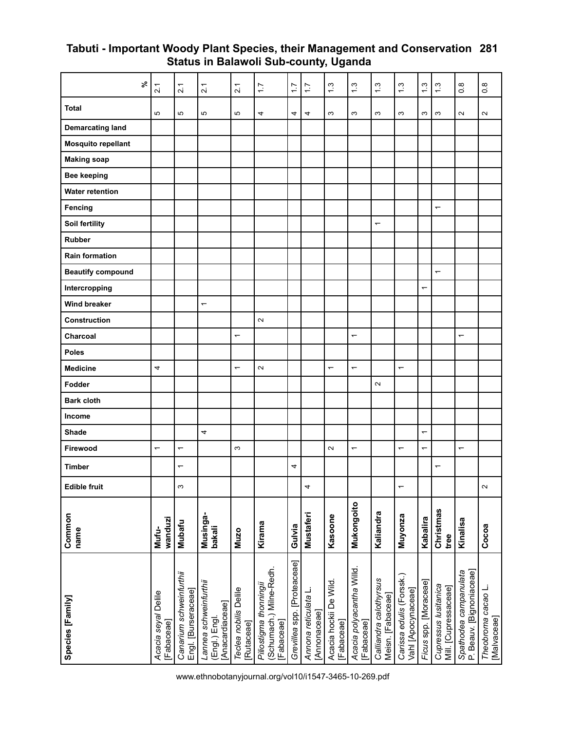### **Tabuti - Important Woody Plant Species, their Management and Conservation 281 Status in Balawoli Sub-county, Uganda**

| $\mathbf{x}$              | $\overline{2.1}$                  | $\frac{1}{2}$                                  | $\overline{2}$                                           | $\overline{2.1}$                    | $\ddot{ }$                                                    | $\overline{1}$ .            | $\ddot{ }$ :                      | $\ddot{.}$                           | $\frac{3}{2}$                         | $\frac{3}{2}$                               | $\frac{3}{2}$                                  | ω.<br>$\overline{ }$     | $\frac{3}{2}$                                | $\frac{8}{2}$                                     | $\frac{8}{2}$                     |
|---------------------------|-----------------------------------|------------------------------------------------|----------------------------------------------------------|-------------------------------------|---------------------------------------------------------------|-----------------------------|-----------------------------------|--------------------------------------|---------------------------------------|---------------------------------------------|------------------------------------------------|--------------------------|----------------------------------------------|---------------------------------------------------|-----------------------------------|
| <b>Total</b>              | မာ                                | Ю                                              | ю                                                        | Ю                                   | 4                                                             | 4                           | 4                                 | ω                                    | ო                                     | ო                                           | ო                                              | S                        | S                                            | $\sim$                                            | $\sim$                            |
| <b>Demarcating land</b>   |                                   |                                                |                                                          |                                     |                                                               |                             |                                   |                                      |                                       |                                             |                                                |                          |                                              |                                                   |                                   |
| <b>Mosquito repellant</b> |                                   |                                                |                                                          |                                     |                                                               |                             |                                   |                                      |                                       |                                             |                                                |                          |                                              |                                                   |                                   |
| <b>Making soap</b>        |                                   |                                                |                                                          |                                     |                                                               |                             |                                   |                                      |                                       |                                             |                                                |                          |                                              |                                                   |                                   |
| <b>Bee keeping</b>        |                                   |                                                |                                                          |                                     |                                                               |                             |                                   |                                      |                                       |                                             |                                                |                          |                                              |                                                   |                                   |
| <b>Water retention</b>    |                                   |                                                |                                                          |                                     |                                                               |                             |                                   |                                      |                                       |                                             |                                                |                          |                                              |                                                   |                                   |
| Fencing                   |                                   |                                                |                                                          |                                     |                                                               |                             |                                   |                                      |                                       |                                             |                                                |                          | $\overline{\phantom{0}}$                     |                                                   |                                   |
| Soil fertility            |                                   |                                                |                                                          |                                     |                                                               |                             |                                   |                                      |                                       | $\overline{\phantom{0}}$                    |                                                |                          |                                              |                                                   |                                   |
| <b>Rubber</b>             |                                   |                                                |                                                          |                                     |                                                               |                             |                                   |                                      |                                       |                                             |                                                |                          |                                              |                                                   |                                   |
| <b>Rain formation</b>     |                                   |                                                |                                                          |                                     |                                                               |                             |                                   |                                      |                                       |                                             |                                                |                          |                                              |                                                   |                                   |
| <b>Beautify compound</b>  |                                   |                                                |                                                          |                                     |                                                               |                             |                                   |                                      |                                       |                                             |                                                |                          | $\overline{ }$                               |                                                   |                                   |
| Intercropping             |                                   |                                                |                                                          |                                     |                                                               |                             |                                   |                                      |                                       |                                             |                                                | $\overline{\phantom{0}}$ |                                              |                                                   |                                   |
| <b>Wind breaker</b>       |                                   |                                                | $\overline{\phantom{0}}$                                 |                                     |                                                               |                             |                                   |                                      |                                       |                                             |                                                |                          |                                              |                                                   |                                   |
| Construction              |                                   |                                                |                                                          |                                     | $\sim$                                                        |                             |                                   |                                      |                                       |                                             |                                                |                          |                                              |                                                   |                                   |
| Charcoal                  |                                   |                                                |                                                          | $\overline{\phantom{0}}$            |                                                               |                             |                                   |                                      | $\overline{\phantom{0}}$              |                                             |                                                |                          |                                              | $\overline{\phantom{0}}$                          |                                   |
| <b>Poles</b>              |                                   |                                                |                                                          |                                     |                                                               |                             |                                   |                                      |                                       |                                             |                                                |                          |                                              |                                                   |                                   |
| <b>Medicine</b>           | 4                                 |                                                |                                                          | $\overline{\phantom{0}}$            | $\sim$                                                        |                             |                                   | $\overline{\phantom{0}}$             | $\overline{\phantom{0}}$              |                                             | $\overline{\phantom{0}}$                       |                          |                                              |                                                   |                                   |
| Fodder                    |                                   |                                                |                                                          |                                     |                                                               |                             |                                   |                                      |                                       | $\sim$                                      |                                                |                          |                                              |                                                   |                                   |
| <b>Bark cloth</b>         |                                   |                                                |                                                          |                                     |                                                               |                             |                                   |                                      |                                       |                                             |                                                |                          |                                              |                                                   |                                   |
| Income                    |                                   |                                                |                                                          |                                     |                                                               |                             |                                   |                                      |                                       |                                             |                                                |                          |                                              |                                                   |                                   |
| <b>Shade</b>              |                                   |                                                | 4                                                        |                                     |                                                               |                             |                                   |                                      |                                       |                                             |                                                | $\overline{\phantom{0}}$ |                                              |                                                   |                                   |
| Firewood                  | $\overline{\phantom{0}}$          | $\overline{\phantom{0}}$                       |                                                          | $\infty$                            |                                                               |                             |                                   | $\mathbf{\Omega}$                    | $\overline{\phantom{0}}$              |                                             | $\overline{\phantom{0}}$                       | $\overline{ }$           |                                              | $\overline{\phantom{0}}$                          |                                   |
| <b>Timber</b>             |                                   | $\overline{\phantom{0}}$                       |                                                          |                                     |                                                               | 4                           |                                   |                                      |                                       |                                             |                                                |                          | $\overline{\phantom{0}}$                     |                                                   |                                   |
| <b>Edible fruit</b>       |                                   | S                                              |                                                          |                                     |                                                               |                             | 4                                 |                                      |                                       |                                             | $\overline{\phantom{0}}$                       |                          |                                              |                                                   | $\sim$                            |
| Common<br>name            | wanduzi<br>Mufu-                  | Mubafu                                         | Musinga-<br>bakali                                       | Muzo                                | Kirama                                                        | Gulvia                      | Mustaferi                         | Kasoone                              | Mukongoito                            | Kaliandra                                   | Muyonza                                        | Kabalira                 | Christmas<br>tree                            | Kinalisa                                          | Сосоа                             |
| Species [Family]          | Acacia seyal Delile<br>[Fabaceae] | Canarium schweinfurthii<br>Engl. [Burseraceae] | Lannea schweinfurthii<br>Anacardiaceae]<br>(Engl.) Engl. | Teclea nobilis Delile<br>[Rutaceae] | Schumach.) Milne-Redh.<br>Piliostigma thonningii<br>Fabaceae] | Grevillea spp. [Proteaceae] | Annona reticulata L<br>Annonaceae | Acacia hockii De Wild.<br>[Fabaceae] | Acacia polyacantha Willd.<br>Fabaceae | Calliandra calothyrsus<br>Meisn. [Fabaceae] | Carissa edulis (Forssk.)<br>Vahl [Apocynaceae] | Ficus spp. [Moraceae]    | Cupressus lusitanica<br>Mill. [Cupressaceae] | Spathodea campanulata<br>P. Beauv. [Bignoniaceae] | Theobroma cacao L.<br>[Malvaceae] |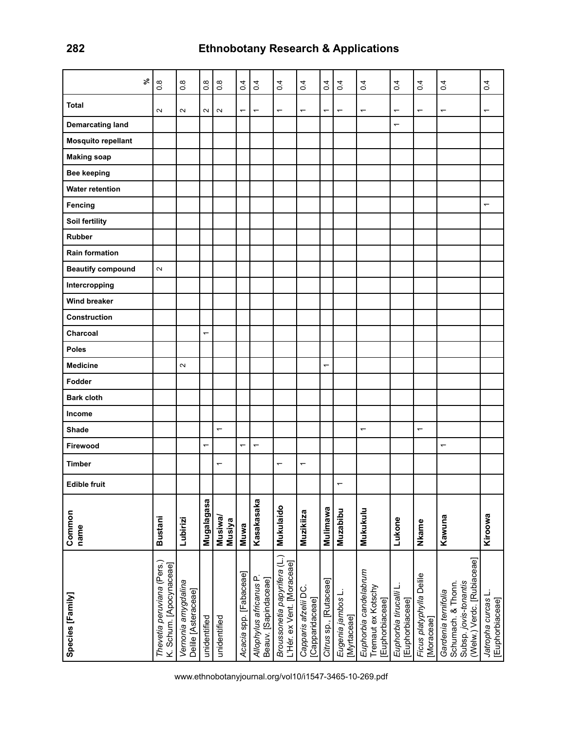| Species [Family]                                                                                 | Common<br>name    | <b>Edible fruit</b> | Timber                   | Firewood                 | <b>Shade</b>             | Income | <b>Bark cloth</b> | Fodder | <b>Medicine</b>          | Charcoal<br><b>Poles</b> | Construction | <b>Wind breaker</b> | Intercropping | <b>Beautify compound</b> | <b>Rain formation</b> | <b>Rubber</b> | Soil fertility | Fencing                  | <b>Water retention</b> | <b>Bee keeping</b> | <b>Making soap</b> | <b>Mosquito repellant</b> | <b>Demarcating land</b>  | Total                    |                     |
|--------------------------------------------------------------------------------------------------|-------------------|---------------------|--------------------------|--------------------------|--------------------------|--------|-------------------|--------|--------------------------|--------------------------|--------------|---------------------|---------------|--------------------------|-----------------------|---------------|----------------|--------------------------|------------------------|--------------------|--------------------|---------------------------|--------------------------|--------------------------|---------------------|
|                                                                                                  |                   |                     |                          |                          |                          |        |                   |        |                          |                          |              |                     |               |                          |                       |               |                |                          |                        |                    |                    |                           |                          |                          | వి                  |
| Thevetia peruviana (Pers.)<br>K. Schum. [Apocynaceae]                                            | <b>Bustani</b>    |                     |                          |                          |                          |        |                   |        |                          |                          |              |                     |               | $\sim$                   |                       |               |                |                          |                        |                    |                    |                           |                          | $\sim$                   | $\infty$<br>Ö       |
| Vernonia amygdalina<br>Delile [Asteraceae]                                                       | Lubirizi          |                     |                          |                          |                          |        |                   |        | $\sim$                   |                          |              |                     |               |                          |                       |               |                |                          |                        |                    |                    |                           |                          | $\sim$                   | $\infty$<br>ö       |
| unidentified                                                                                     | Mugalagasa        |                     |                          | $\overline{\phantom{0}}$ |                          |        |                   |        |                          | $\overline{\phantom{0}}$ |              |                     |               |                          |                       |               |                |                          |                        |                    |                    |                           |                          | $\sim$                   | $\infty$<br>ö       |
| unidentified                                                                                     | Musiwa/<br>Musiya |                     | $\overline{\phantom{0}}$ |                          | $\overline{\phantom{0}}$ |        |                   |        |                          |                          |              |                     |               |                          |                       |               |                |                          |                        |                    |                    |                           |                          | $\sim$                   | $\infty$<br>$\circ$ |
| Acacia spp. [Fabaceae]                                                                           | Muwa              |                     |                          | $\overline{ }$           |                          |        |                   |        |                          |                          |              |                     |               |                          |                       |               |                |                          |                        |                    |                    |                           |                          | $\overline{\phantom{0}}$ | 4<br>ö              |
| Allophylus africanus P.<br>Beauv. [Sapindaceae]                                                  | Kasakasaka        |                     |                          | $\overline{\phantom{0}}$ |                          |        |                   |        |                          |                          |              |                     |               |                          |                       |               |                |                          |                        |                    |                    |                           |                          | $\overline{\phantom{0}}$ | 0.4                 |
| Broussonetia pap <i>yrifera</i> (L.)<br>L'Hér. ex Vent. [Moraceae]                               | Mukulaido         |                     | $\overline{\phantom{0}}$ |                          |                          |        |                   |        |                          |                          |              |                     |               |                          |                       |               |                |                          |                        |                    |                    |                           |                          | $\overline{\phantom{0}}$ | 0.4                 |
| Capparis afzelii DC.<br>Capparidaceae]                                                           | Muzikiiza         |                     | $\overline{\phantom{0}}$ |                          |                          |        |                   |        |                          |                          |              |                     |               |                          |                       |               |                |                          |                        |                    |                    |                           |                          | $\overline{\phantom{0}}$ | 0.4                 |
| Citrus sp., [Rutaceae]                                                                           | Mulimawa          |                     |                          |                          |                          |        |                   |        | $\overline{\phantom{0}}$ |                          |              |                     |               |                          |                       |               |                |                          |                        |                    |                    |                           |                          | $\overline{\phantom{0}}$ | 4<br>Ö              |
| Eugenia jambos L<br>[Myrtaceae]                                                                  | Muzabibu          |                     |                          |                          |                          |        |                   |        |                          |                          |              |                     |               |                          |                       |               |                |                          |                        |                    |                    |                           |                          | $\overline{\phantom{0}}$ | 0.4                 |
| Euphorbia candelabrum<br>Tremaut ex Kotschy<br>Euphorbiaceae]                                    | Mukukulu          |                     |                          |                          | $\overline{\phantom{0}}$ |        |                   |        |                          |                          |              |                     |               |                          |                       |               |                |                          |                        |                    |                    |                           |                          | —                        | $\overline{0.4}$    |
| Euphorbia tirucalli<br>[Euphorbiaceae]                                                           | Lukone            |                     |                          |                          |                          |        |                   |        |                          |                          |              |                     |               |                          |                       |               |                |                          |                        |                    |                    |                           | $\overline{\phantom{0}}$ | $\overline{\phantom{0}}$ | $\overline{0.4}$    |
| Ficus platyphylla Delile<br>[Moraceae]                                                           | Nkame             |                     |                          |                          | $\overline{\phantom{0}}$ |        |                   |        |                          |                          |              |                     |               |                          |                       |               |                |                          |                        |                    |                    |                           |                          | $\overline{\phantom{0}}$ | 0.4                 |
| (Welw.) Verdc. [Rubiaceae]<br>Schumach. & Thonn.<br>Subsp. jovis-tonantis<br>Gardenia ternifolia | Kawuna            |                     |                          | $\overline{\phantom{0}}$ |                          |        |                   |        |                          |                          |              |                     |               |                          |                       |               |                |                          |                        |                    |                    |                           |                          | ٣                        | 4<br>ö              |
| <i>Jatropha curcas</i> L<br>[Euphorbiaceae]                                                      | Kiroowa           |                     |                          |                          |                          |        |                   |        |                          |                          |              |                     |               |                          |                       |               |                | $\overline{\phantom{0}}$ |                        |                    |                    |                           |                          | $\overline{ }$           | $\overline{0}$      |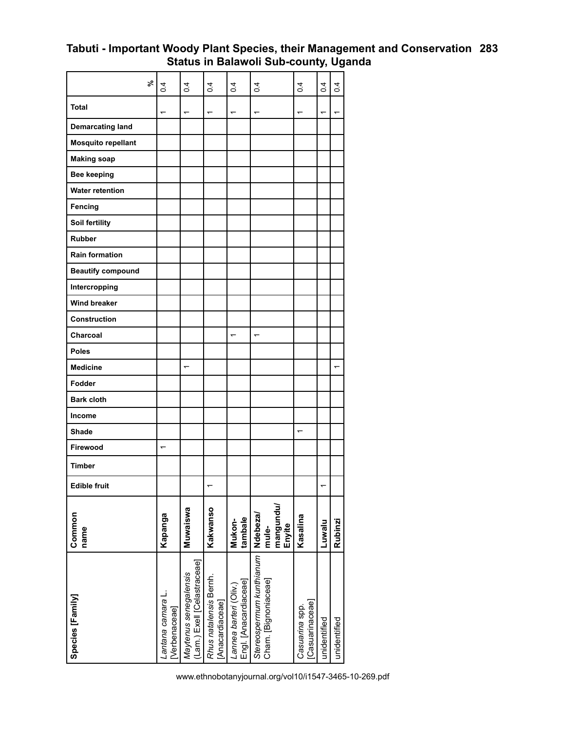### **Tabuti - Important Woody Plant Species, their Management and Conservation 283 Status in Balawoli Sub-county, Uganda**

| <b>Total</b><br><b>Demarcating land</b><br><b>Mosquito repellant</b><br><b>Making soap</b><br><b>Bee keeping</b><br><b>Water retention</b><br>Fencing |
|-------------------------------------------------------------------------------------------------------------------------------------------------------|
|                                                                                                                                                       |
|                                                                                                                                                       |
|                                                                                                                                                       |
|                                                                                                                                                       |
|                                                                                                                                                       |
|                                                                                                                                                       |
|                                                                                                                                                       |
|                                                                                                                                                       |
|                                                                                                                                                       |
|                                                                                                                                                       |
| $\overline{\phantom{0}}$                                                                                                                              |
|                                                                                                                                                       |
|                                                                                                                                                       |
|                                                                                                                                                       |
|                                                                                                                                                       |
|                                                                                                                                                       |
|                                                                                                                                                       |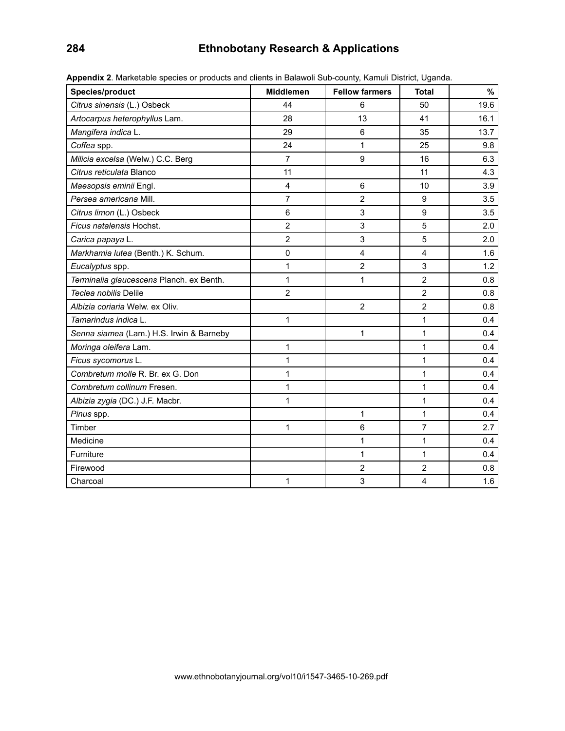## **284 Ethnobotany Research & Applications**

| Species/product                          | Middlemen      | <b>Fellow farmers</b>   | <b>Total</b>            | %    |
|------------------------------------------|----------------|-------------------------|-------------------------|------|
| Citrus sinensis (L.) Osbeck              | 44             | 6                       | 50                      | 19.6 |
| Artocarpus heterophyllus Lam.            | 28             | 13                      | 41                      | 16.1 |
| Mangifera indica L.                      | 29             | 6                       | 35                      | 13.7 |
| Coffea spp.                              | 24             | 1                       | 25                      | 9.8  |
| Milicia excelsa (Welw.) C.C. Berg        | $\overline{7}$ | 9                       | 16                      | 6.3  |
| Citrus reticulata Blanco                 | 11             |                         | 11                      | 4.3  |
| Maesopsis eminii Engl.                   | 4              | 6                       | 10                      | 3.9  |
| Persea americana Mill.                   | $\overline{7}$ | $\overline{2}$          | 9                       | 3.5  |
| Citrus limon (L.) Osbeck                 | 6              | 3                       | 9                       | 3.5  |
| Ficus natalensis Hochst.                 | $\overline{2}$ | 3                       | 5                       | 2.0  |
| Carica papaya L.                         | $\overline{2}$ | 3                       | 5                       | 2.0  |
| Markhamia lutea (Benth.) K. Schum.       | 0              | $\overline{\mathbf{4}}$ | $\overline{\mathbf{4}}$ | 1.6  |
| Eucalyptus spp.                          | 1              | $\overline{2}$          | 3                       | 1.2  |
| Terminalia glaucescens Planch. ex Benth. | $\mathbf{1}$   | 1                       | $\overline{2}$          | 0.8  |
| Teclea nobilis Delile                    | $\overline{2}$ |                         | $\overline{2}$          | 0.8  |
| Albizia coriaria Welw. ex Oliv.          |                | $\overline{2}$          | $\overline{2}$          | 0.8  |
| Tamarindus indica L.                     | 1              |                         | 1                       | 0.4  |
| Senna siamea (Lam.) H.S. Irwin & Barneby |                | 1                       | $\mathbf{1}$            | 0.4  |
| Moringa oleifera Lam.                    | 1              |                         | 1                       | 0.4  |
| Ficus sycomorus L.                       | $\mathbf 1$    |                         | 1                       | 0.4  |
| Combretum molle R. Br. ex G. Don         | 1              |                         | 1                       | 0.4  |
| Combretum collinum Fresen.               | $\mathbf{1}$   |                         | $\mathbf{1}$            | 0.4  |
| Albizia zygia (DC.) J.F. Macbr.          | $\mathbf{1}$   |                         | 1                       | 0.4  |
| Pinus spp.                               |                | $\mathbf{1}$            | 1                       | 0.4  |
| Timber                                   | 1              | 6                       | $\overline{7}$          | 2.7  |
| Medicine                                 |                | 1                       | $\mathbf{1}$            | 0.4  |
| Furniture                                |                | 1                       | 1                       | 0.4  |
| Firewood                                 |                | $\overline{2}$          | $\overline{2}$          | 0.8  |
| Charcoal                                 | $\mathbf 1$    | 3                       | 4                       | 1.6  |

**Appendix 2**. Marketable species or products and clients in Balawoli Sub-county, Kamuli District, Uganda.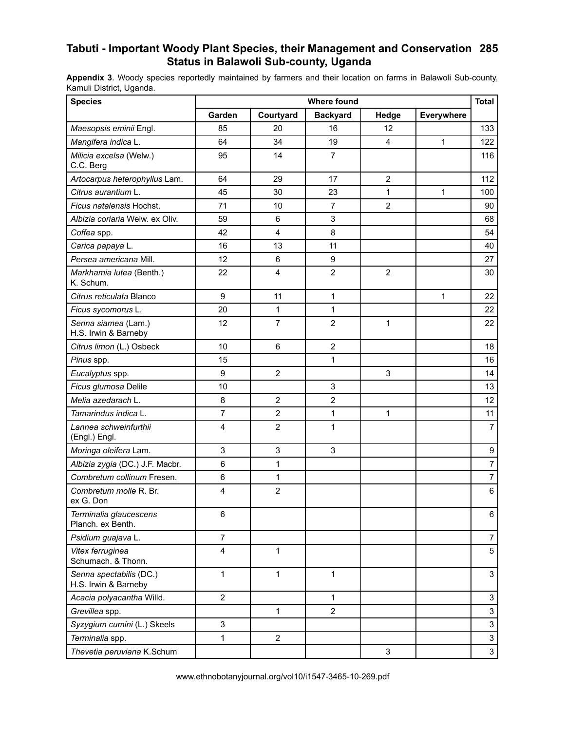### **Tabuti - Important Woody Plant Species, their Management and Conservation 285 Status in Balawoli Sub-county, Uganda**

**Appendix 3**. Woody species reportedly maintained by farmers and their location on farms in Balawoli Sub-county, Kamuli District, Uganda.

| <b>Species</b>                                  |                |                | <b>Where found</b> |                |            | <b>Total</b>     |
|-------------------------------------------------|----------------|----------------|--------------------|----------------|------------|------------------|
|                                                 | Garden         | Courtyard      | <b>Backyard</b>    | Hedge          | Everywhere |                  |
| Maesopsis eminii Engl.                          | 85             | 20             | 16                 | 12             |            | 133              |
| Mangifera indica L.                             | 64             | 34             | 19                 | 4              | 1          | 122              |
| Milicia excelsa (Welw.)<br>C.C. Berg            | 95             | 14             | $\overline{7}$     |                |            | 116              |
| Artocarpus heterophyllus Lam.                   | 64             | 29             | 17                 | $\overline{2}$ |            | 112              |
| Citrus aurantium L.                             | 45             | 30             | 23                 | 1              | 1          | 100              |
| Ficus natalensis Hochst.                        | 71             | 10             | $\overline{7}$     | $\overline{2}$ |            | 90               |
| Albizia coriaria Welw. ex Oliv.                 | 59             | 6              | 3                  |                |            | 68               |
| Coffea spp.                                     | 42             | 4              | 8                  |                |            | 54               |
| Carica papaya L.                                | 16             | 13             | 11                 |                |            | 40               |
| Persea americana Mill.                          | 12             | $\,6\,$        | 9                  |                |            | 27               |
| Markhamia lutea (Benth.)<br>K. Schum.           | 22             | 4              | $\overline{2}$     | $\overline{2}$ |            | 30               |
| Citrus reticulata Blanco                        | 9              | 11             | 1                  |                | 1          | 22               |
| Ficus sycomorus L.                              | 20             | $\mathbf 1$    | 1                  |                |            | 22               |
| Senna siamea (Lam.)<br>H.S. Irwin & Barneby     | 12             | $\overline{7}$ | $\overline{2}$     | $\mathbf{1}$   |            | 22               |
| Citrus limon (L.) Osbeck                        | 10             | 6              | $\overline{2}$     |                |            | 18               |
| Pinus spp.                                      | 15             |                | 1                  |                |            | 16               |
| Eucalyptus spp.                                 | 9              | $\overline{2}$ |                    | 3              |            | 14               |
| Ficus glumosa Delile                            | 10             |                | 3                  |                |            | 13               |
| Melia azedarach L.                              | 8              | $\overline{2}$ | $\overline{2}$     |                |            | 12               |
| Tamarindus indica L.                            | $\overline{7}$ | $\overline{2}$ | 1                  | $\mathbf{1}$   |            | 11               |
| Lannea schweinfurthii<br>(Engl.) Engl.          | $\overline{4}$ | $\overline{2}$ | 1                  |                |            | $\overline{7}$   |
| Moringa oleifera Lam.                           | 3              | 3              | 3                  |                |            | $\boldsymbol{9}$ |
| Albizia zygia (DC.) J.F. Macbr.                 | 6              | $\mathbf{1}$   |                    |                |            | $\overline{7}$   |
| Combretum collinum Fresen.                      | 6              | $\mathbf 1$    |                    |                |            | $\overline{7}$   |
| Combretum molle R. Br.<br>ex G. Don             | $\overline{4}$ | $\overline{c}$ |                    |                |            | $\,6$            |
| Terminalia glaucescens<br>Planch. ex Benth.     | 6              |                |                    |                |            | 6                |
| Psidium guajava L.                              | $\overline{7}$ |                |                    |                |            | $\boldsymbol{7}$ |
| Vitex ferruginea<br>Schumach. & Thonn.          | 4              | $\mathbf{1}$   |                    |                |            | 5                |
| Senna spectabilis (DC.)<br>H.S. Irwin & Barneby | $\mathbf{1}$   | $\mathbf{1}$   | $\mathbf{1}$       |                |            | $\mathbf{3}$     |
| Acacia polyacantha Willd.                       | $\overline{2}$ |                | $\mathbf 1$        |                |            | $\mathbf{3}$     |
| Grevillea spp.                                  |                | $\mathbf{1}$   | $\overline{2}$     |                |            | $\mathfrak{S}$   |
| Syzygium cumini (L.) Skeels                     | 3              |                |                    |                |            | $\mathbf{3}$     |
| Terminalia spp.                                 | 1              | $\overline{2}$ |                    |                |            | $\overline{3}$   |
| Thevetia peruviana K.Schum                      |                |                |                    | 3              |            | $\overline{3}$   |